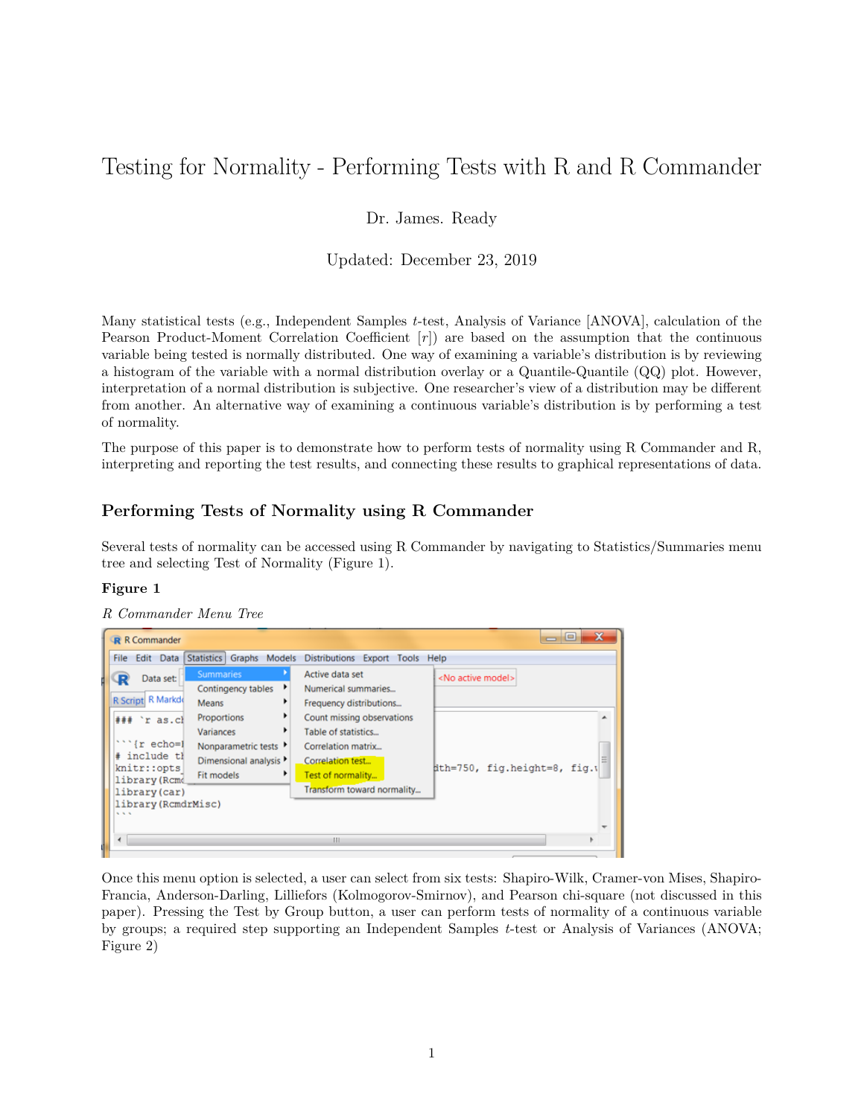# Testing for Normality - Performing Tests with R and R Commander

Dr. James. Ready

Updated: December 23, 2019

Many statistical tests (e.g., Independent Samples *t*-test, Analysis of Variance [ANOVA], calculation of the Pearson Product-Moment Correlation Coefficient [*r*]) are based on the assumption that the continuous variable being tested is normally distributed. One way of examining a variable's distribution is by reviewing a histogram of the variable with a normal distribution overlay or a Quantile-Quantile (QQ) plot. However, interpretation of a normal distribution is subjective. One researcher's view of a distribution may be different from another. An alternative way of examining a continuous variable's distribution is by performing a test of normality.

The purpose of this paper is to demonstrate how to perform tests of normality using R Commander and R, interpreting and reporting the test results, and connecting these results to graphical representations of data.

# **Performing Tests of Normality using R Commander**

Several tests of normality can be accessed using R Commander by navigating to Statistics/Summaries menu tree and selecting Test of Normality (Figure 1).

#### **Figure 1**

| <b>R</b> R Commander                                                                    |                                                                                              |                                                                                                                  | ×<br><u>— e</u>              |
|-----------------------------------------------------------------------------------------|----------------------------------------------------------------------------------------------|------------------------------------------------------------------------------------------------------------------|------------------------------|
| Edit Data<br><b>Statistics</b><br><b>File</b>                                           | Graphs<br>Models                                                                             | <b>Distributions</b><br>Export Tools Help                                                                        |                              |
| Data set:<br>R Script R Markdo<br>Means                                                 | <b>Summaries</b><br>٠<br>Contingency tables                                                  | Active data set<br>Numerical summaries<br>Frequency distributions                                                | <no active="" model=""></no> |
| $##$ 'r as.cl<br>$\{r \text{ echo} = 1\}$<br>include tl<br>knitr::opts<br>library (Rcmd | Proportions<br>Variances<br>Nonparametric tests<br>Dimensional analysis<br><b>Fit models</b> | Count missing observations<br>Table of statistics<br>Correlation matrix<br>Correlation test<br>Test of normality | ith=750, fig.height=8, fig.t |
| library (car)<br>library (RcmdrMisc)<br>555<br>$\epsilon$                               |                                                                                              | Transform toward normality<br>m                                                                                  |                              |

*R Commander Menu Tree*

Once this menu option is selected, a user can select from six tests: Shapiro-Wilk, Cramer-von Mises, Shapiro-Francia, Anderson-Darling, Lilliefors (Kolmogorov-Smirnov), and Pearson chi-square (not discussed in this paper). Pressing the Test by Group button, a user can perform tests of normality of a continuous variable by groups; a required step supporting an Independent Samples *t*-test or Analysis of Variances (ANOVA; Figure 2)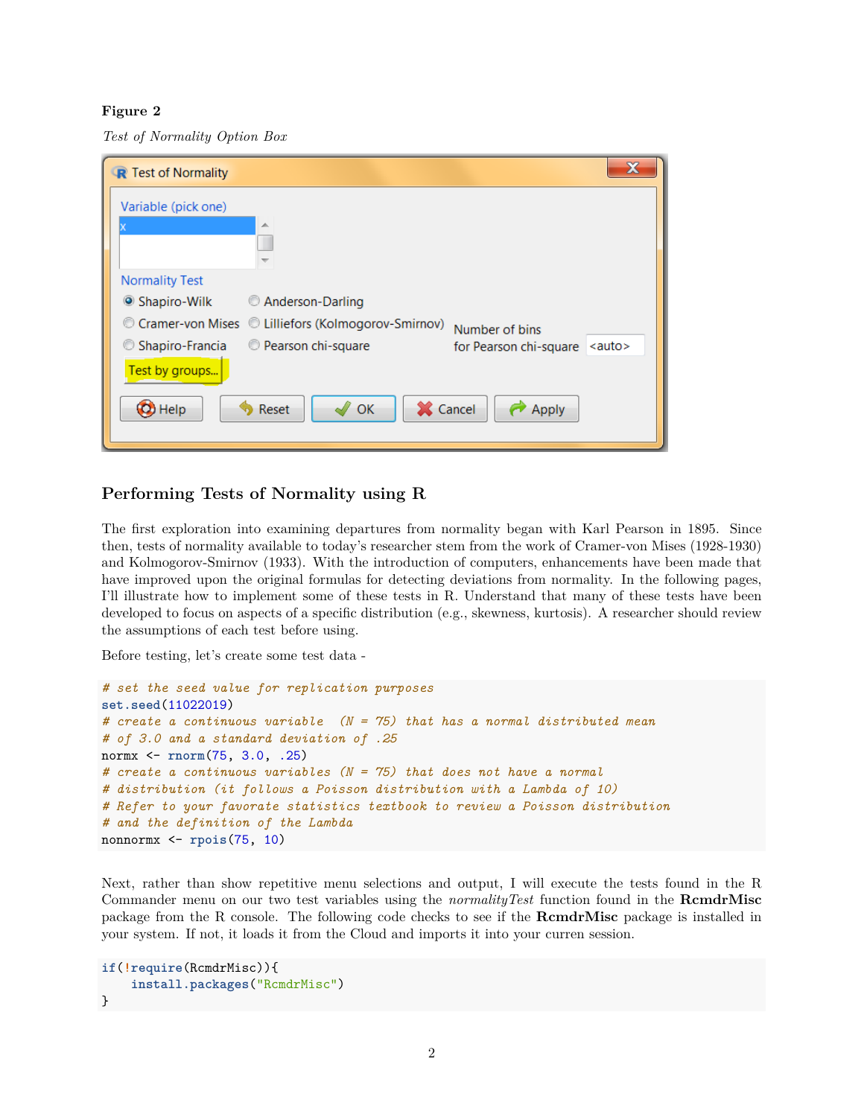### **Figure 2**

*Test of Normality Option Box*

| X<br>R Test of Normality                                                                     |  |  |  |  |
|----------------------------------------------------------------------------------------------|--|--|--|--|
| Variable (pick one)                                                                          |  |  |  |  |
| ∸                                                                                            |  |  |  |  |
|                                                                                              |  |  |  |  |
| <b>Normality Test</b>                                                                        |  |  |  |  |
| Shapiro-Wilk<br>Anderson-Darling                                                             |  |  |  |  |
| © Cramer-von Mises © Lilliefors (Kolmogorov-Smirnov)<br>Number of bins                       |  |  |  |  |
| Shapiro-Francia<br><b>Pearson chi-square</b><br>$\leq$ auto $\geq$<br>for Pearson chi-square |  |  |  |  |
| Test by groups                                                                               |  |  |  |  |
| X Cancel<br>C Help<br>OK<br>Reset<br>Apply                                                   |  |  |  |  |

# **Performing Tests of Normality using R**

The first exploration into examining departures from normality began with Karl Pearson in 1895. Since then, tests of normality available to today's researcher stem from the work of Cramer-von Mises (1928-1930) and Kolmogorov-Smirnov (1933). With the introduction of computers, enhancements have been made that have improved upon the original formulas for detecting deviations from normality. In the following pages, I'll illustrate how to implement some of these tests in R. Understand that many of these tests have been developed to focus on aspects of a specific distribution (e.g., skewness, kurtosis). A researcher should review the assumptions of each test before using.

Before testing, let's create some test data -

```
# set the seed value for replication purposes
set.seed(11022019)
# create a continuous variable (N = 75) that has a normal distributed mean
# of 3.0 and a standard deviation of .25
normx <- rnorm(75, 3.0, .25)
# create a continuous variables (N = 75) that does not have a normal
# distribution (it follows a Poisson distribution with a Lambda of 10)
# Refer to your favorate statistics textbook to review a Poisson distribution
# and the definition of the Lambda
nonnormx <- rpois(75, 10)
```
Next, rather than show repetitive menu selections and output, I will execute the tests found in the R Commander menu on our two test variables using the *normalityTest* function found in the **RcmdrMisc** package from the R console. The following code checks to see if the **RcmdrMisc** package is installed in your system. If not, it loads it from the Cloud and imports it into your curren session.

```
if(!require(RcmdrMisc)){
    install.packages("RcmdrMisc")
}
```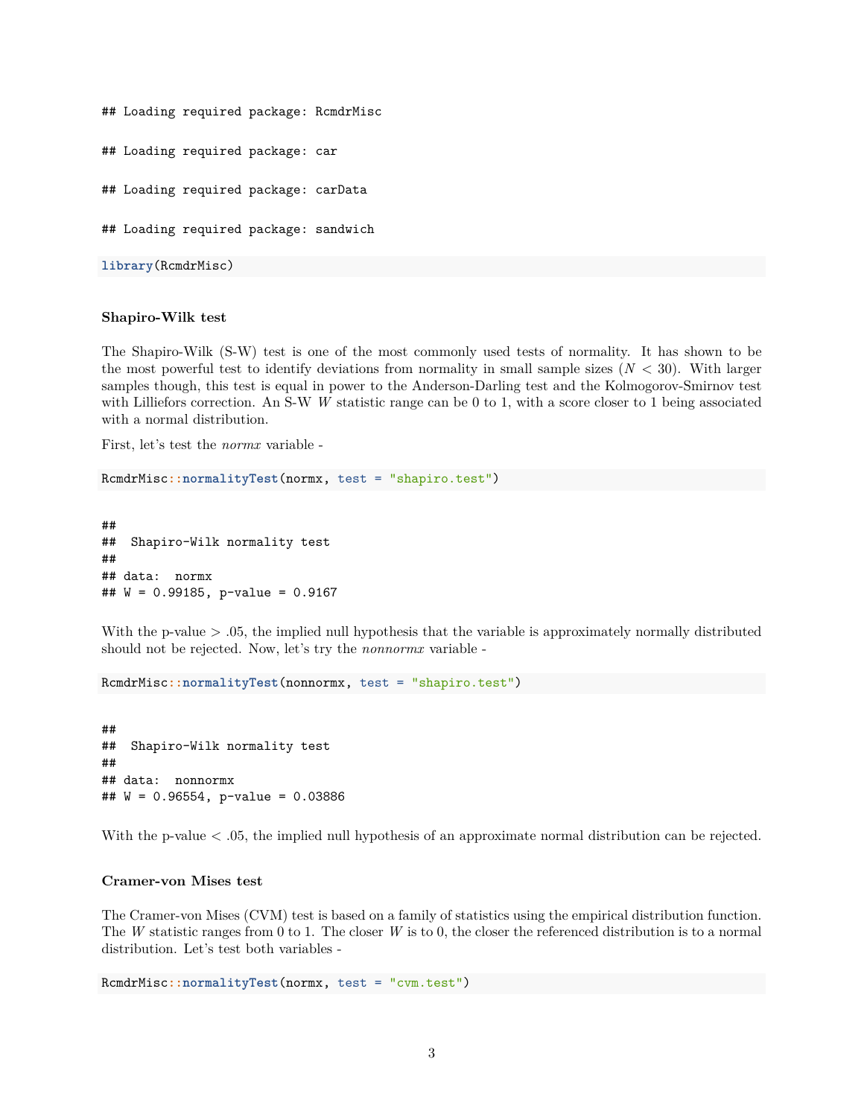```
## Loading required package: RcmdrMisc
## Loading required package: car
## Loading required package: carData
## Loading required package: sandwich
library(RcmdrMisc)
```
#### **Shapiro-Wilk test**

The Shapiro-Wilk (S-W) test is one of the most commonly used tests of normality. It has shown to be the most powerful test to identify deviations from normality in small sample sizes  $(N < 30)$ . With larger samples though, this test is equal in power to the Anderson-Darling test and the Kolmogorov-Smirnov test with Lilliefors correction. An S-W *W* statistic range can be 0 to 1, with a score closer to 1 being associated with a normal distribution.

First, let's test the *normx* variable -

RcmdrMisc**::normalityTest**(normx, test = "shapiro.test")

## ## Shapiro-Wilk normality test ## ## data: normx ## W = 0.99185, p-value = 0.9167

With the p-value > .05, the implied null hypothesis that the variable is approximately normally distributed should not be rejected. Now, let's try the *nonnormx* variable -

RcmdrMisc**::normalityTest**(nonnormx, test = "shapiro.test")

## ## Shapiro-Wilk normality test ## ## data: nonnormx ## W = 0.96554, p-value = 0.03886

With the p-value  $\lt$  .05, the implied null hypothesis of an approximate normal distribution can be rejected.

#### **Cramer-von Mises test**

The Cramer-von Mises (CVM) test is based on a family of statistics using the empirical distribution function. The *W* statistic ranges from 0 to 1. The closer *W* is to 0, the closer the referenced distribution is to a normal distribution. Let's test both variables -

RcmdrMisc**::normalityTest**(normx, test = "cvm.test")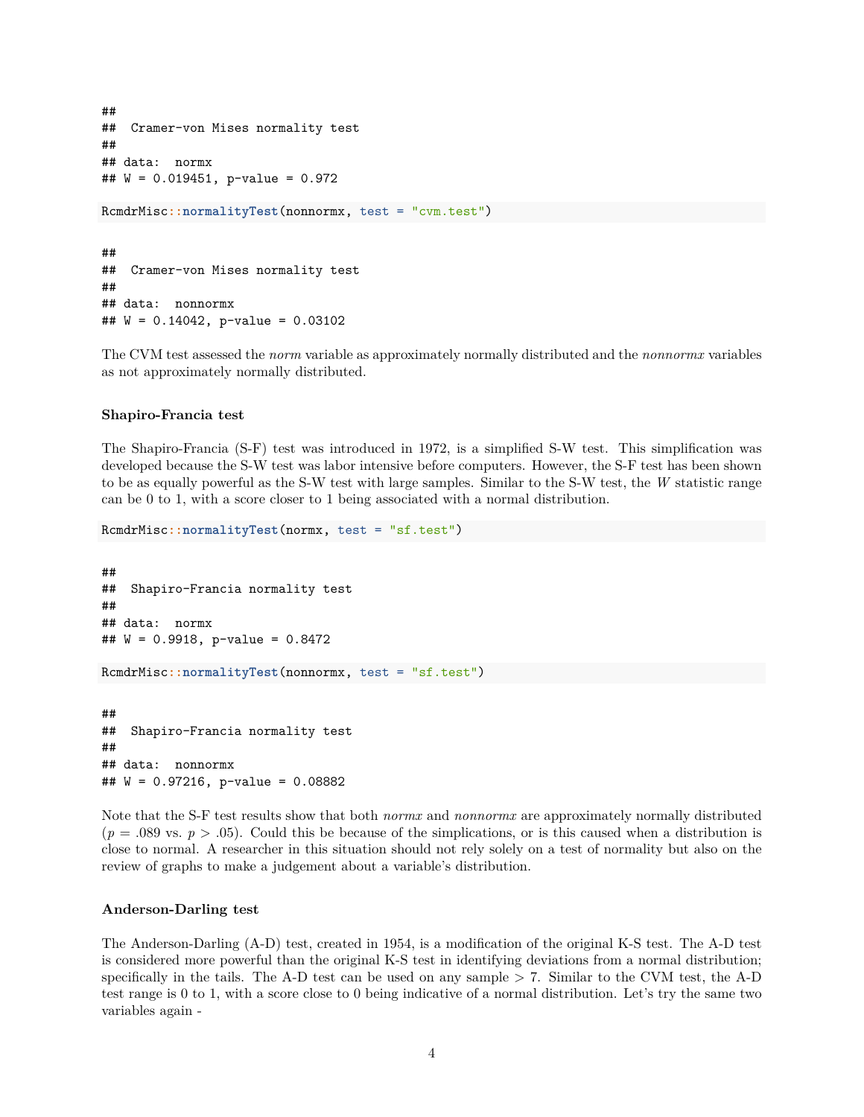```
##
## Cramer-von Mises normality test
##
## data: normx
## W = 0.019451, p-value = 0.972
RcmdrMisc::normalityTest(nonnormx, test = "cvm.test")
##
## Cramer-von Mises normality test
##
## data: nonnormx
## W = 0.14042, p-value = 0.03102
```
The CVM test assessed the *norm* variable as approximately normally distributed and the *nonnormx* variables as not approximately normally distributed.

#### **Shapiro-Francia test**

The Shapiro-Francia (S-F) test was introduced in 1972, is a simplified S-W test. This simplification was developed because the S-W test was labor intensive before computers. However, the S-F test has been shown to be as equally powerful as the S-W test with large samples. Similar to the S-W test, the *W* statistic range can be 0 to 1, with a score closer to 1 being associated with a normal distribution.

```
RcmdrMisc::normalityTest(normx, test = "sf.test")
```

```
##
## Shapiro-Francia normality test
##
## data: normx
## W = 0.9918, p-value = 0.8472
RcmdrMisc::normalityTest(nonnormx, test = "sf.test")
##
## Shapiro-Francia normality test
```
## ## data: nonnormx ## W = 0.97216, p-value = 0.08882

Note that the S-F test results show that both *normx* and *nonnormx* are approximately normally distributed  $(p = .089 \text{ vs. } p > .05)$ . Could this be because of the simplications, or is this caused when a distribution is close to normal. A researcher in this situation should not rely solely on a test of normality but also on the review of graphs to make a judgement about a variable's distribution.

#### **Anderson-Darling test**

The Anderson-Darling (A-D) test, created in 1954, is a modification of the original K-S test. The A-D test is considered more powerful than the original K-S test in identifying deviations from a normal distribution; specifically in the tails. The A-D test can be used on any sample  $> 7$ . Similar to the CVM test, the A-D test range is 0 to 1, with a score close to 0 being indicative of a normal distribution. Let's try the same two variables again -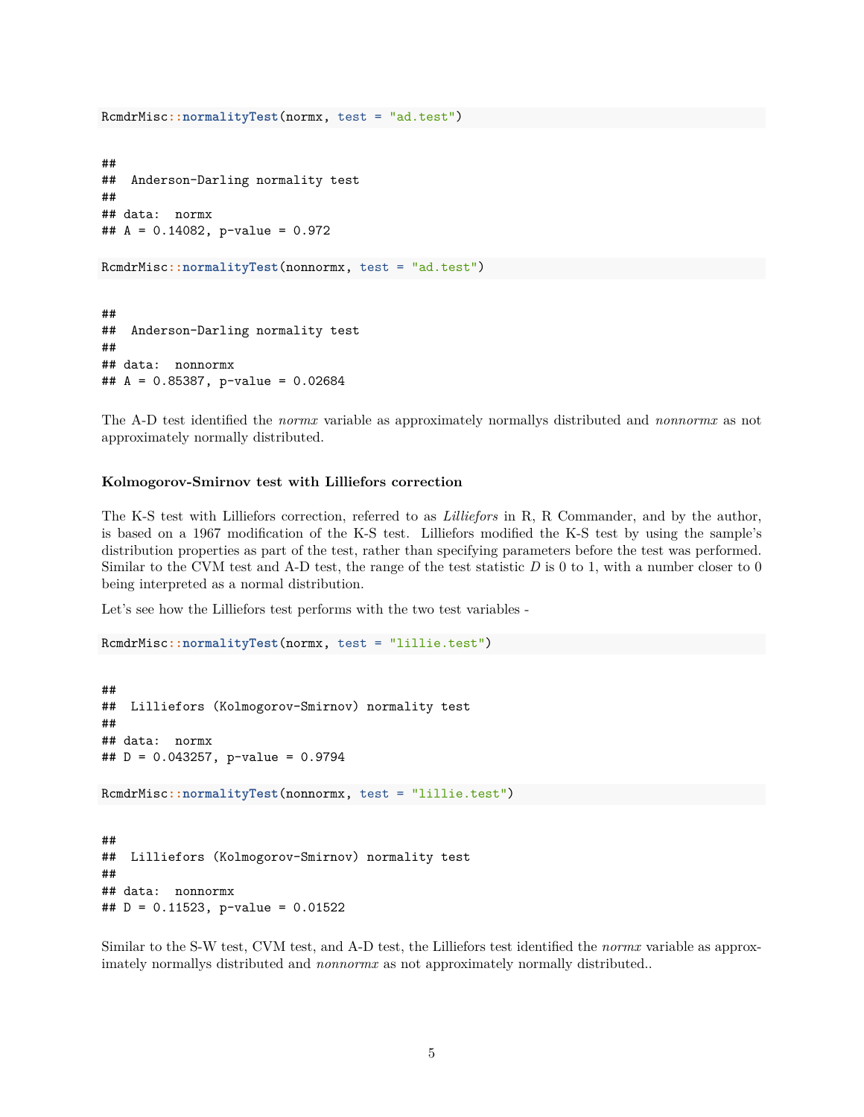```
RcmdrMisc::normalityTest(normx, test = "ad.test")
##
## Anderson-Darling normality test
##
## data: normx
## A = 0.14082, p-value = 0.972
RcmdrMisc::normalityTest(nonnormx, test = "ad.test")
##
## Anderson-Darling normality test
##
## data: nonnormx
## A = 0.85387, p-value = 0.02684
```
The A-D test identified the *normx* variable as approximately normallys distributed and *nonnormx* as not approximately normally distributed.

#### **Kolmogorov-Smirnov test with Lilliefors correction**

The K-S test with Lilliefors correction, referred to as *Lilliefors* in R, R Commander, and by the author, is based on a 1967 modification of the K-S test. Lilliefors modified the K-S test by using the sample's distribution properties as part of the test, rather than specifying parameters before the test was performed. Similar to the CVM test and A-D test, the range of the test statistic *D* is 0 to 1, with a number closer to 0 being interpreted as a normal distribution.

Let's see how the Lilliefors test performs with the two test variables -

```
RcmdrMisc::normalityTest(normx, test = "lillie.test")
```

```
##
## Lilliefors (Kolmogorov-Smirnov) normality test
##
## data: normx
## D = 0.043257, p-value = 0.9794
RcmdrMisc::normalityTest(nonnormx, test = "lillie.test")
##
## Lilliefors (Kolmogorov-Smirnov) normality test
##
## data: nonnormx
## D = 0.11523, p-value = 0.01522
```
Similar to the S-W test, CVM test, and A-D test, the Lilliefors test identified the *normx* variable as approximately normallys distributed and *nonnormx* as not approximately normally distributed..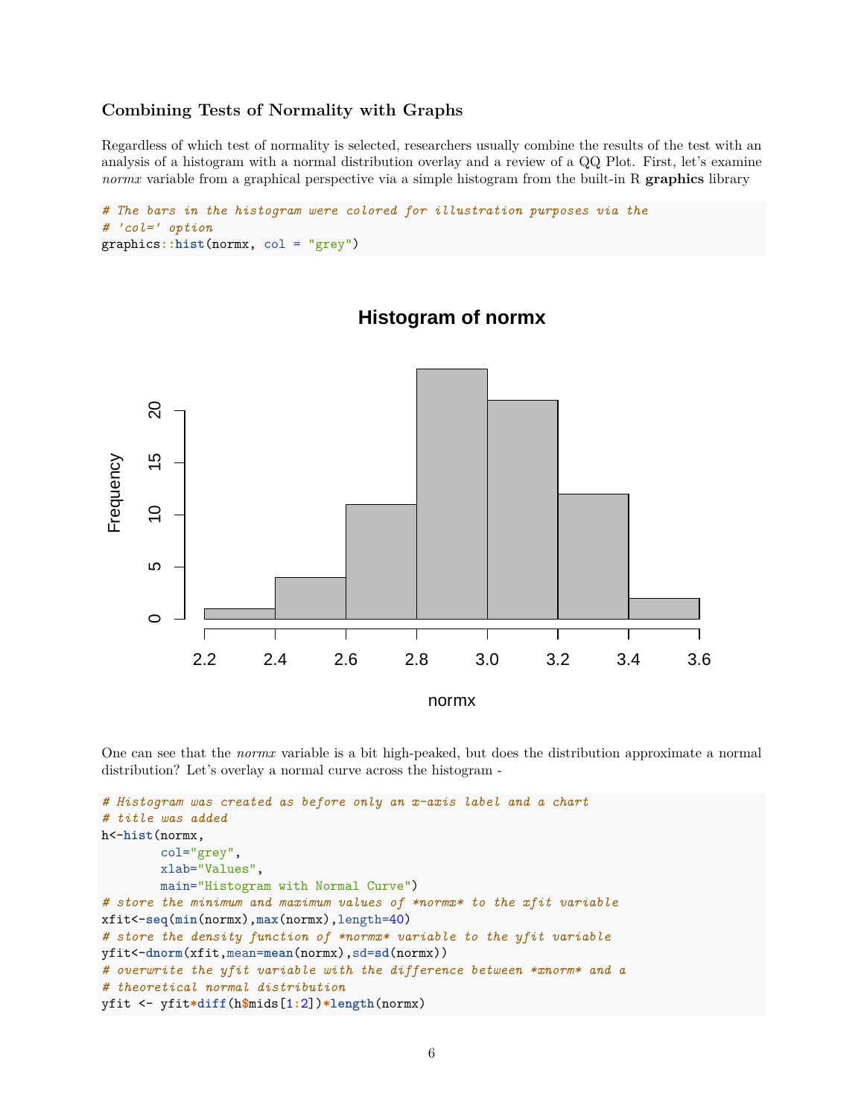# **Combining Tests of Normality with Graphs**

Regardless of which test of normality is selected, researchers usually combine the results of the test with an analysis of a histogram with a normal distribution overlay and a review of a QQ Plot. First, let's examine *normx* variable from a graphical perspective via a simple histogram from the built-in R **graphics** library

```
# The bars in the histogram were colored for illustration purposes via the
# 'col=' option
graphics::hist(normx, col = "grey")
```


# **Histogram of normx**

One can see that the *normx* variable is a bit high-peaked, but does the distribution approximate a normal distribution? Let's overlay a normal curve across the histogram -

```
# Histogram was created as before only an x-axis label and a chart
# title was added
h<-hist(normx,
        col="grey",
        xlab="Values",
        main="Histogram with Normal Curve")
# store the minimum and maximum values of *normx* to the xfit variable
xfit<-seq(min(normx),max(normx),length=40)
# store the density function of *normx* variable to the yfit variable
yfit<-dnorm(xfit,mean=mean(normx),sd=sd(normx))
# overwrite the yfit variable with the difference between *xnorm* and a
# theoretical normal distribution
yfit <- yfit*diff(h$mids[1:2])*length(normx)
```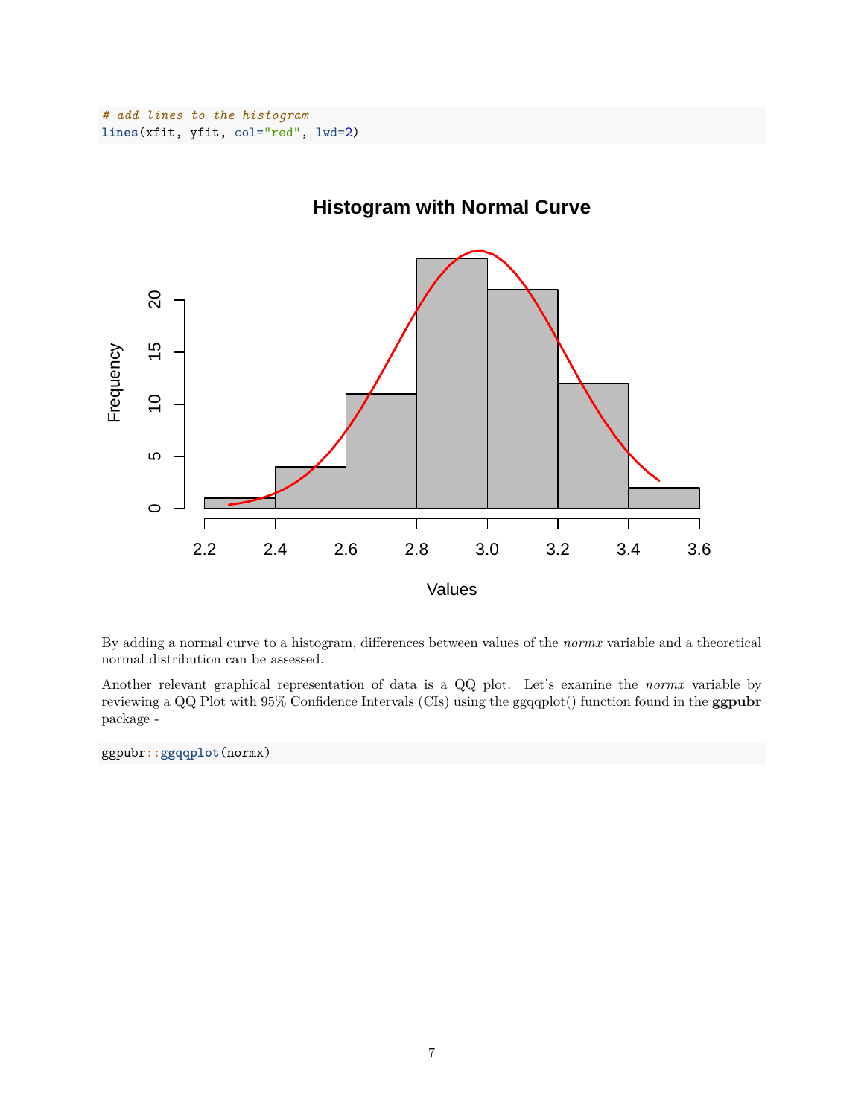

**Histogram with Normal Curve**

By adding a normal curve to a histogram, differences between values of the *normx* variable and a theoretical normal distribution can be assessed.

Another relevant graphical representation of data is a QQ plot. Let's examine the *normx* variable by reviewing a QQ Plot with 95% Confidence Intervals (CIs) using the ggqqplot() function found in the **ggpubr** package -

ggpubr**::ggqqplot**(normx)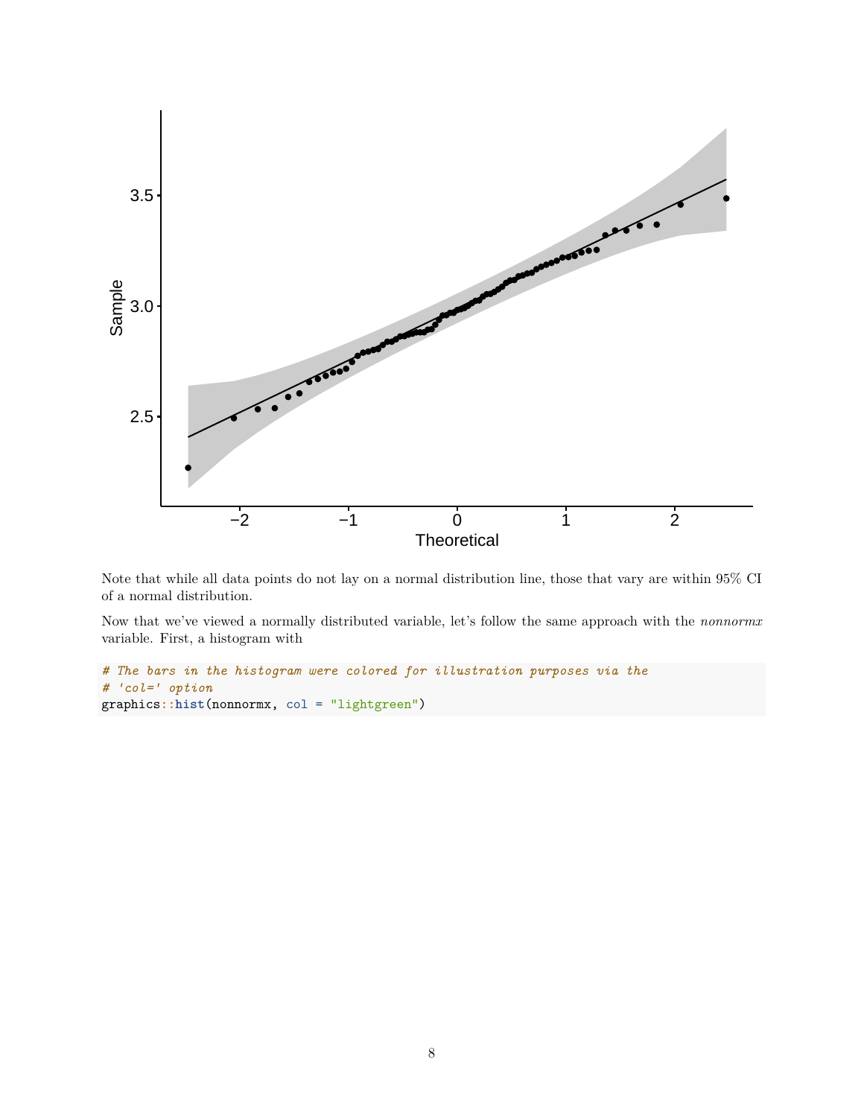

Note that while all data points do not lay on a normal distribution line, those that vary are within 95% CI of a normal distribution.

Now that we've viewed a normally distributed variable, let's follow the same approach with the *nonnormx* variable. First, a histogram with

```
# The bars in the histogram were colored for illustration purposes via the
# 'col=' option
graphics::hist(nonnormx, col = "lightgreen")
```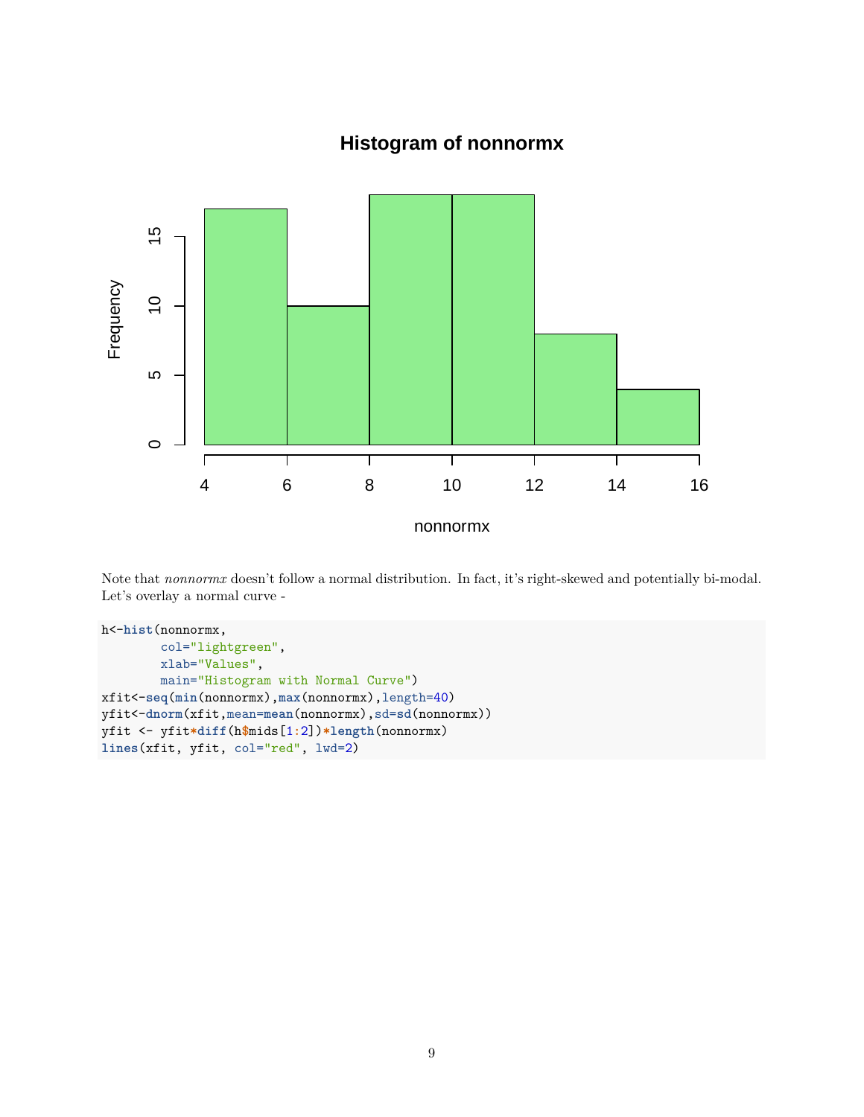# **Histogram of nonnormx**



Note that *nonnormx* doesn't follow a normal distribution. In fact, it's right-skewed and potentially bi-modal. Let's overlay a normal curve -

```
h<-hist(nonnormx,
        col="lightgreen",
       xlab="Values",
       main="Histogram with Normal Curve")
xfit<-seq(min(nonnormx),max(nonnormx),length=40)
yfit<-dnorm(xfit,mean=mean(nonnormx),sd=sd(nonnormx))
yfit <- yfit*diff(h$mids[1:2])*length(nonnormx)
lines(xfit, yfit, col="red", lwd=2)
```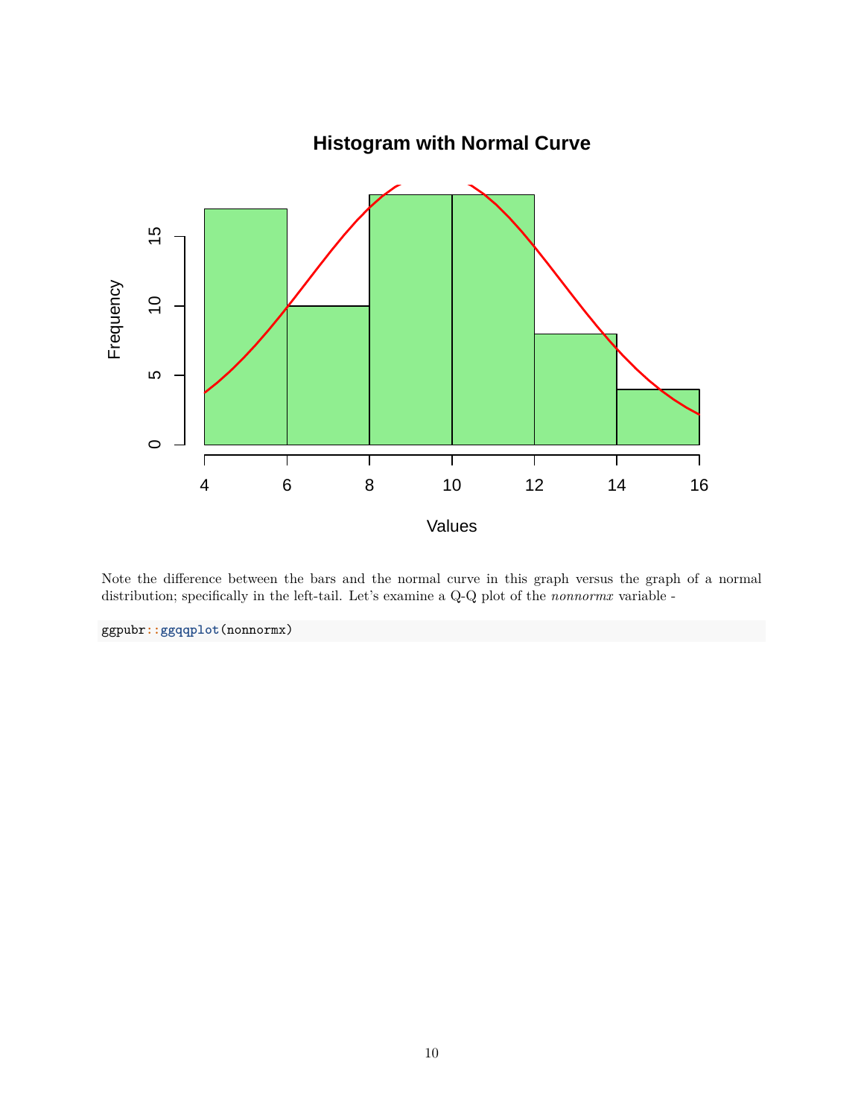

Note the difference between the bars and the normal curve in this graph versus the graph of a normal distribution; specifically in the left-tail. Let's examine a Q-Q plot of the *nonnormx* variable -

ggpubr**::ggqqplot**(nonnormx)